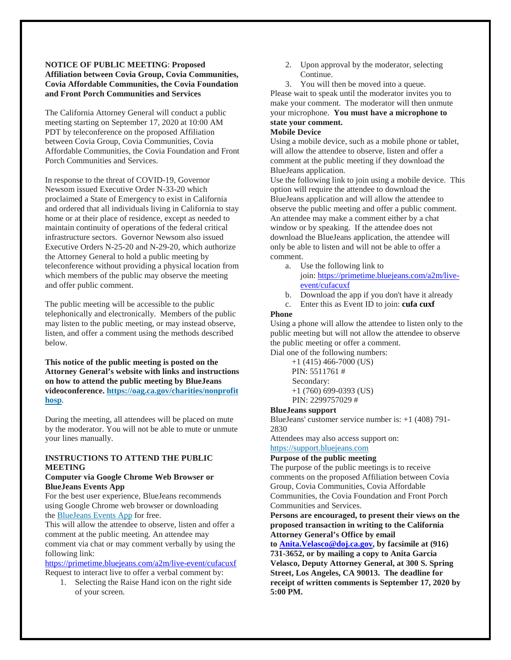#### **NOTICE OF PUBLIC MEETING**: **Proposed Affiliation between Covia Group, Covia Communities, Covia Affordable Communities, the Covia Foundation and Front Porch Communities and Services**

The California Attorney General will conduct a public meeting starting on September 17, 2020 at 10:00 AM PDT by teleconference on the proposed Affiliation between Covia Group, Covia Communities, Covia Affordable Communities, the Covia Foundation and Front Porch Communities and Services.

In response to the threat of COVID-19, Governor Newsom issued Executive Order N-33-20 which proclaimed a State of Emergency to exist in California and ordered that all individuals living in California to stay home or at their place of residence, except as needed to maintain continuity of operations of the federal critical infrastructure sectors. Governor Newsom also issued Executive Orders N-25-20 and N-29-20, which authorize the Attorney General to hold a public meeting by teleconference without providing a physical location from which members of the public may observe the meeting and offer public comment.

The public meeting will be accessible to the public telephonically and electronically. Members of the public may listen to the public meeting, or may instead observe, listen, and offer a comment using the methods described below.

**This notice of the public meeting is posted on the Attorney General's website with links and instructions on how to attend the public meeting by BlueJeans videoconference. [https://oag.ca.gov/charities/nonprofit](https://oag.ca.gov/charities/nonprofithosp) [hosp](https://oag.ca.gov/charities/nonprofithosp)**.

During the meeting, all attendees will be placed on mute by the moderator. You will not be able to mute or unmute your lines manually.

### **INSTRUCTIONS TO ATTEND THE PUBLIC MEETING**

#### **Computer via Google Chrome Web Browser or BlueJeans Events App**

For the best user experience, BlueJeans recommends using Google Chrome web browser or downloading the [BlueJeans Events App](https://www.bluejeans.com/downloads#events) for free.

This will allow the attendee to observe, listen and offer a comment at the public meeting. An attendee may comment via chat or may comment verbally by using the following link:

<https://primetime.bluejeans.com/a2m/live-event/cufacuxf> Request to interact live to offer a verbal comment by:

1. Selecting the Raise Hand icon on the right side of your screen.

2. Upon approval by the moderator, selecting Continue.

3. You will then be moved into a queue. Please wait to speak until the moderator invites you to make your comment. The moderator will then unmute your microphone. **You must have a microphone to state your comment.**

# **Mobile Device**

Using a mobile device, such as a mobile phone or tablet, will allow the attendee to observe, listen and offer a comment at the public meeting if they download the BlueJeans application.

Use the following link to join using a mobile device. This option will require the attendee to download the BlueJeans application and will allow the attendee to observe the public meeting and offer a public comment. An attendee may make a comment either by a chat window or by speaking. If the attendee does not download the BlueJeans application, the attendee will only be able to listen and will not be able to offer a comment.

- a. Use the following link to join: [https://primetime.bluejeans.com/a2m/live](https://urldefense.proofpoint.com/v2/url?u=https-3A__primetime.bluejeans.com_a2m_live-2Devent_cufacuxf&d=DwMFAw&c=uASjV29gZuJt5_5J5CPRuQ&r=PqIGLpv2OA8WebJT0J6tue8Cb1QTS1DAaMU3tspgzmg&m=TdMHX7wYs5IvVxMKHsmD748rAxaN4MmN8hwQbp1QbCE&s=tuKv6Pds7nBVv3cIeHHq1buIanigMeQZr7dBDRqVGz0&e=)[event/cufacuxf](https://urldefense.proofpoint.com/v2/url?u=https-3A__primetime.bluejeans.com_a2m_live-2Devent_cufacuxf&d=DwMFAw&c=uASjV29gZuJt5_5J5CPRuQ&r=PqIGLpv2OA8WebJT0J6tue8Cb1QTS1DAaMU3tspgzmg&m=TdMHX7wYs5IvVxMKHsmD748rAxaN4MmN8hwQbp1QbCE&s=tuKv6Pds7nBVv3cIeHHq1buIanigMeQZr7dBDRqVGz0&e=)
- b. Download the app if you don't have it already
- c. Enter this as Event ID to join: **cufa cuxf**

### **Phone**

Using a phone will allow the attendee to listen only to the public meeting but will not allow the attendee to observe the public meeting or offer a comment.

Dial one of the following numbers:

+1 (415) 466-7000 (US) PIN: 5511761 # Secondary: +1 (760) 699-0393 (US) PIN: 2299757029 #

### **BlueJeans support**

BlueJeans' customer service number is: +1 (408) 791- 2830

Attendees may also access support on: [https://support.bluejeans.com](https://support.bluejeans.com/)

# **Purpose of the public meeting**

The purpose of the public meetings is to receive comments on the proposed Affiliation between Covia Group, Covia Communities, Covia Affordable Communities, the Covia Foundation and Front Porch Communities and Services.

### **Persons are encouraged, to present their views on the proposed transaction in writing to the California Attorney General's Office by email**

**to [Anita.Velasco@doj.ca.gov,](mailto:Anita.Velasco@doj.ca.gov) by facsimile at (916) 731-3652, or by mailing a copy to Anita Garcia Velasco, Deputy Attorney General, at 300 S. Spring Street, Los Angeles, CA 90013. The deadline for receipt of written comments is September 17, 2020 by 5:00 PM.**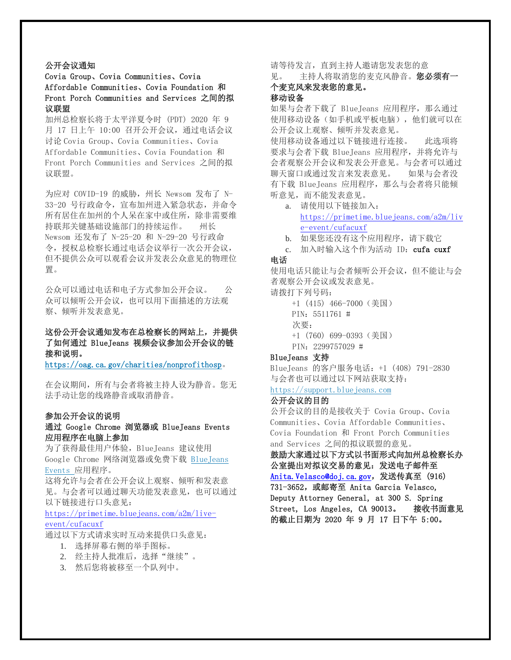# 公开会议通知

### Covia Group、Covia Communities、Covia Affordable Communities、Covia Foundation 和 Front Porch Communities and Services 之间的拟 议联盟

加州总检察长将于太平洋夏令时 (PDT) 2020 年 9 月 17 日上午 10:00 召开公开会议,通过电话会议 讨论 Covia Group、Covia Communities、Covia Affordable Communities、Covia Foundation 和 Front Porch Communities and Services 之间的拟 议联盟。

为应对 COVID-19 的威胁,州长 Newsom 发布了 N-33-20 号行政命令,宣布加州进入紧急状态,并命令 所有居住在加州的个人呆在家中或住所,除非需要维 持联邦关键基础设施部门的持续运作。 州长 Newsom 还发布了 N-25-20 和 N-29-20 号行政命 令,授权总检察长通过电话会议举行一次公开会议, 但不提供公众可以观看会议并发表公众意见的物理位 置。

公众可以通过电话和电子方式参加公开会议。 公 众可以倾听公开会议,也可以用下面描述的方法观 察、倾听并发表意见。

# 这份公开会议通知发布在总检察长的网站上,并提供 了如何通过 BlueJeans 视频会议参加公开会议的链 接和说明。

<https://oag.ca.gov/charities/nonprofithosp>。

在会议期间,所有与会者将被主持人设为静音。您无 法手动让您的线路静音或取消静音。

#### 参加公开会议的说明

### 通过 Google Chrome 浏览器或 BlueJeans Events 应用程序在电脑上参加

为了获得最佳用户体验,BlueJeans 建议使用 Google Chrome 网络浏览器或免费下载 [BlueJeans](https://www.bluejeans.com/downloads#events)  [Events](https://www.bluejeans.com/downloads#events) 应用程序。

这将允许与会者在公开会议上观察、倾听和发表意 见。与会者可以通过聊天功能发表意见,也可以通过 以下链接进行口头意见:

[https://primetime.bluejeans.com/a2m/live](https://primetime.bluejeans.com/a2m/live-event/cufacuxf)[event/cufacuxf](https://primetime.bluejeans.com/a2m/live-event/cufacuxf)

通过以下方式请求实时互动来提供口头意见:

- 1. 选择屏幕右侧的举手图标。
- 2. 经主持人批准后,选择"继续"。
- 3. 然后您将被移至一个队列中。

请等待发言,直到主持人邀请您发表您的意

见。 主持人将取消您的麦克风静音。您必须有一 个麦克风来发表您的意见。

# 移动设备

如果与会者下载了 BlueJeans 应用程序,那么通过 使用移动设备(如手机或平板电脑),他们就可以在 公开会议上观察、倾听并发表意见。 使用移动设备通过以下链接进行连接。 此选项将 要求与会者下载 BlueJeans 应用程序,并将允许与 会者观察公开会议和发表公开意见。与会者可以通过 聊天窗口或通过发言来发表意见。 如果与会者没 有下载 BlueJeans 应用程序,那么与会者将只能倾 听意见,而不能发表意见。

a. 请使用以下链接加入: [https://primetime.bluejeans.com/a2m/liv](https://urldefense.proofpoint.com/v2/url?u=https-3A__primetime.bluejeans.com_a2m_live-2Devent_cufacuxf&d=DwMFAw&c=uASjV29gZuJt5_5J5CPRuQ&r=PqIGLpv2OA8WebJT0J6tue8Cb1QTS1DAaMU3tspgzmg&m=TdMHX7wYs5IvVxMKHsmD748rAxaN4MmN8hwQbp1QbCE&s=tuKv6Pds7nBVv3cIeHHq1buIanigMeQZr7dBDRqVGz0&e=) [e-event/cufacuxf](https://urldefense.proofpoint.com/v2/url?u=https-3A__primetime.bluejeans.com_a2m_live-2Devent_cufacuxf&d=DwMFAw&c=uASjV29gZuJt5_5J5CPRuQ&r=PqIGLpv2OA8WebJT0J6tue8Cb1QTS1DAaMU3tspgzmg&m=TdMHX7wYs5IvVxMKHsmD748rAxaN4MmN8hwQbp1QbCE&s=tuKv6Pds7nBVv3cIeHHq1buIanigMeQZr7dBDRqVGz0&e=)

- b. 如果您还没有这个应用程序,请下载它
- c. 加入时输入这个作为活动 ID: cufa cuxf

### 电话

使用电话只能让与会者倾听公开会议,但不能让与会 者观察公开会议或发表意见。

#### 请拨打下列号码:

+1 (415) 466-7000(美国) PIN: 5511761 # 次要: +1 (760) 699-0393(美国) PIN:2299757029 #

#### BlueJeans 支持

BlueJeans 的客户服务电话:+1 (408) 791-2830 与会者也可以通过以下网站获取支持:

### [https://support.bluejeans.com](https://support.bluejeans.com/)

# 公开会议的目的

公开会议的目的是接收关于 Covia Group、Covia Communities、Covia Affordable Communities、 Covia Foundation 和 Front Porch Communities and Services 之间的拟议联盟的意见。

鼓励大家通过以下方式以书面形式向加州总检察长办 公室提出对拟议交易的意见:发送电子邮件至 [Anita.Velasco@doj.ca.gov](mailto:Anita.Velasco@doj.ca.gov),发送传真至 (916) 731-3652,或邮寄至 Anita Garcia Velasco, Deputy Attorney General, at 300 S. Spring Street, Los Angeles, CA 90013。 接收书面意见 的截止日期为 2020 年 9 月 17 日下午 5:00。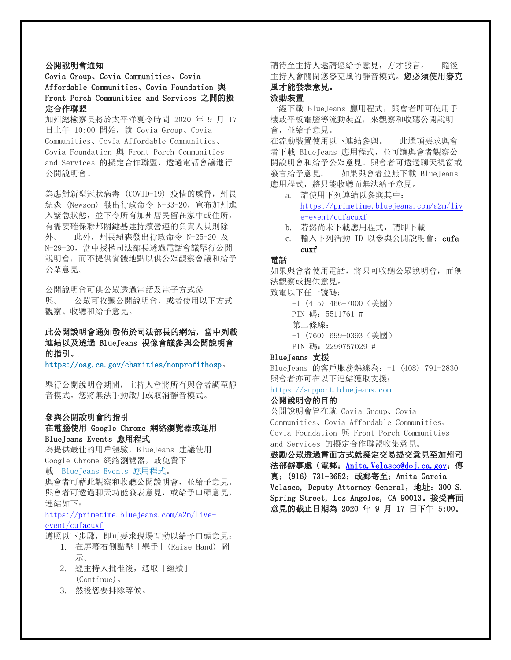### 公開說明會通知

Covia Group、Covia Communities、Covia Affordable Communities、Covia Foundation 與 Front Porch Communities and Services 之間的擬 定合作聯盟

加州總檢察長將於太平洋夏令時間 2020 年 9 月 17 日上午 10:00 開始,就 Covia Group、Covia Communities、Covia Affordable Communities、 Covia Foundation 與 Front Porch Communities and Services 的擬定合作聯盟, 诱過電話會議進行 公開說明會。

為應對新型冠狀病毒 (COVID-19) 疫情的威脅,州長 紐森 (Newsom) 發出行政命令 N-33-20,宣布加州進 入緊急狀態,並下令所有加州居民留在家中或住所, 有需要確保聯邦關鍵基建持續營運的負責人員則除 外。 此外,州長紐森發出行政命令 N-25-20 及 N-29-20, 當中授權司法部長透過電話會議舉行公開 說明會,而不提供實體地點以供公眾觀察會議和給予 公眾意見。

公開說明會可供公眾透過電話及電子方式參 與。 公眾可收聽公開說明會,或者使用以下方式 觀察、收聽和給予意見。

# 此公開說明會通知發佈於司法部長的網站,當中列載 連結以及透過 BlueJeans 視像會議參與公開說明會 的指引。

<https://oag.ca.gov/charities/nonprofithosp>。

舉行公開說明會期間,主持人會將所有與會者調至靜 音模式。您將無法手動啟用或取消靜音模式。

### 參與公開說明會的指引

### 在電腦使用 Google Chrome 網絡瀏覽器或運用 BlueJeans Events 應用程式

為提供最佳的用戶體驗,BlueJeans 建議使用 Google Chrome 網絡瀏覽器, 或免費下

#### 載 [BlueJeans Events](https://www.bluejeans.com/downloads#events) 應用程式。

與會者可藉此觀察和收聽公開說明會,並給予意見。 與會者可透過聊天功能發表意見,或給予口頭意見, 連結如下:

[https://primetime.bluejeans.com/a2m/live](https://primetime.bluejeans.com/a2m/live-event/cufacuxf)[event/cufacuxf](https://primetime.bluejeans.com/a2m/live-event/cufacuxf)

遵照以下步驟,即可要求現場互動以給予口頭意見: 1. 在屏幕右側點擊「舉手」(Raise Hand) 圖

- 示。
- 2. 經主持人批准後,選取「繼續」 (Continue)。
- 3. 然後您要排隊等候。

請待至主持人邀請您給予意見,方才發言。 隨後 主持人會關閉您麥克風的靜音模式。您必須使用麥克 風才能發表意見。

### 流動裝置

一經下載 BlueJeans 應用程式, 與會者即可使用手 機或平板電腦等流動裝置,來觀察和收聽公開說明 會,並給予意見。

在流動裝置使用以下連結參與。 此選項要求與會 者下載 BlueJeans 應用程式,並可讓與會者觀察公 開說明會和給予公眾意見。與會者可透過聊天視窗或 發言給予意見。 如果與會者並無下載 BlueJeans 應用程式,將只能收聽而無法給予意見。

- a. 請使用下列連結以參與其中: [https://primetime.bluejeans.com/a2m/liv](https://urldefense.proofpoint.com/v2/url?u=https-3A__primetime.bluejeans.com_a2m_live-2Devent_cufacuxf&d=DwMFAw&c=uASjV29gZuJt5_5J5CPRuQ&r=PqIGLpv2OA8WebJT0J6tue8Cb1QTS1DAaMU3tspgzmg&m=TdMHX7wYs5IvVxMKHsmD748rAxaN4MmN8hwQbp1QbCE&s=tuKv6Pds7nBVv3cIeHHq1buIanigMeQZr7dBDRqVGz0&e=) [e-event/cufacuxf](https://urldefense.proofpoint.com/v2/url?u=https-3A__primetime.bluejeans.com_a2m_live-2Devent_cufacuxf&d=DwMFAw&c=uASjV29gZuJt5_5J5CPRuQ&r=PqIGLpv2OA8WebJT0J6tue8Cb1QTS1DAaMU3tspgzmg&m=TdMHX7wYs5IvVxMKHsmD748rAxaN4MmN8hwQbp1QbCE&s=tuKv6Pds7nBVv3cIeHHq1buIanigMeQZr7dBDRqVGz0&e=)
- b. 若然尚未下載應用程式,請即下載
- c. 輸入下列活動 ID 以參與公開說明會: cufa cuxf

#### 電話

如果與會者使用電話,將只可收聽公眾說明會,而無 法觀察或提供意見。

#### 致電以下任一號碼:

+1 (415) 466-7000(美國) PIN 碼:5511761 #

- 第二條線:
- +1 (760) 699-0393(美國)
- PIN 碼:2299757029 #

### BlueJeans 支援

BlueJeans 的客戶服務熱線為:+1 (408) 791-2830 與會者亦可在以下連結獲取支援:

# [https://support.bluejeans.com](https://support.bluejeans.com/)

# 公開說明會的目的

公開說明會旨在就 Covia Group、Covia Communities、Covia Affordable Communities、 Covia Foundation 與 Front Porch Communities and Services 的擬定合作聯盟收集意見。

鼓勵公眾透過書面方式就擬定交易提交意見至加州司 法部辦事處(電郵: [Anita.Velasco@doj.ca.gov](mailto:Anita.Velasco@doj.ca.gov); 傳 真: (916) 731-3652; 或郵寄至: Anita Garcia Velasco, Deputy Attorney General, 地址: 300 S. Spring Street, Los Angeles, CA 90013。接受書面 意見的截止日期為 2020 年 9 月 17 日下午 5:00。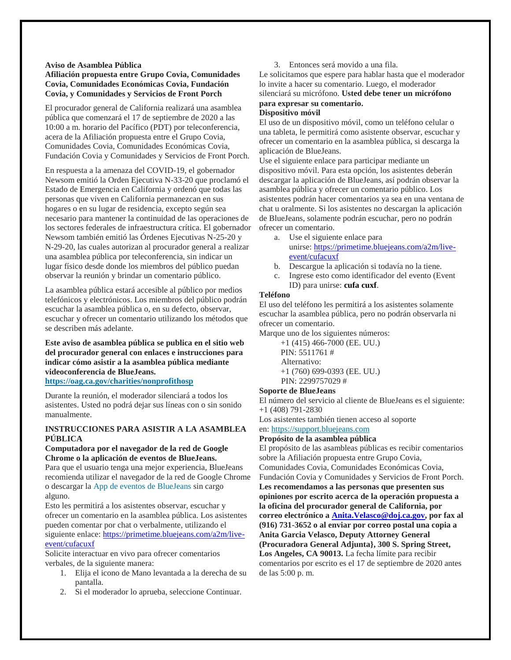#### **Aviso de Asamblea Pública**

#### **Afiliación propuesta entre Grupo Covia, Comunidades Covia, Comunidades Económicas Covia, Fundación Covia, y Comunidades y Servicios de Front Porch**

El procurador general de California realizará una asamblea pública que comenzará el 17 de septiembre de 2020 a las 10:00 a m. horario del Pacífico (PDT) por teleconferencia, acera de la Afiliación propuesta entre el Grupo Covia, Comunidades Covia, Comunidades Económicas Covia, Fundación Covia y Comunidades y Servicios de Front Porch.

En respuesta a la amenaza del COVID-19, el gobernador Newsom emitió la Orden Ejecutiva N-33-20 que proclamó el Estado de Emergencia en California y ordenó que todas las personas que viven en California permanezcan en sus hogares o en su lugar de residencia, excepto según sea necesario para mantener la continuidad de las operaciones de los sectores federales de infraestructura crítica. El gobernador Newsom también emitió las Órdenes Ejecutivas N-25-20 y N-29-20, las cuales autorizan al procurador general a realizar una asamblea pública por teleconferencia, sin indicar un lugar físico desde donde los miembros del público puedan observar la reunión y brindar un comentario público.

La asamblea pública estará accesible al público por medios telefónicos y electrónicos. Los miembros del público podrán escuchar la asamblea pública o, en su defecto, observar, escuchar y ofrecer un comentario utilizando los métodos que se describen más adelante.

**Este aviso de asamblea pública se publica en el sitio web del procurador general con enlaces e instrucciones para indicar cómo asistir a la asamblea pública mediante videoconferencia de BlueJeans. <https://oag.ca.gov/charities/nonprofithosp>**

Durante la reunión, el moderador silenciará a todos los asistentes. Usted no podrá dejar sus líneas con o sin sonido manualmente.

#### **INSTRUCCIONES PARA ASISTIR A LA ASAMBLEA PÚBLICA**

#### **Computadora por el navegador de la red de Google Chrome o la aplicación de eventos de BlueJeans.**

Para que el usuario tenga una mejor experiencia, BlueJeans recomienda utilizar el navegador de la red de Google Chrome o descargar la [App de eventos de BlueJeans](https://www.bluejeans.com/downloads#events) sin cargo alguno.

Esto les permitirá a los asistentes observar, escuchar y ofrecer un comentario en la asamblea pública. Los asistentes pueden comentar por chat o verbalmente, utilizando el siguiente enlace: [https://primetime.bluejeans.com/a2m/live](https://primetime.bluejeans.com/a2m/live-event/cufacuxf)[event/cufacuxf](https://primetime.bluejeans.com/a2m/live-event/cufacuxf)

Solicite interactuar en vivo para ofrecer comentarios verbales, de la siguiente manera:

- 1. Elija el icono de Mano levantada a la derecha de su pantalla.
- 2. Si el moderador lo aprueba, seleccione Continuar.

3. Entonces será movido a una fila.

Le solicitamos que espere para hablar hasta que el moderador lo invite a hacer su comentario. Luego, el moderador silenciará su micrófono. **Usted debe tener un micrófono para expresar su comentario.**

#### **Dispositivo móvil**

El uso de un dispositivo móvil, como un teléfono celular o una tableta, le permitirá como asistente observar, escuchar y ofrecer un comentario en la asamblea pública, si descarga la aplicación de BlueJeans.

Use el siguiente enlace para participar mediante un dispositivo móvil. Para esta opción, los asistentes deberán descargar la aplicación de BlueJeans, así podrán observar la asamblea pública y ofrecer un comentario público. Los asistentes podrán hacer comentarios ya sea en una ventana de chat u oralmente. Si los asistentes no descargan la aplicación de BlueJeans, solamente podrán escuchar, pero no podrán ofrecer un comentario.

- a. Use el siguiente enlace para
	- unirse: [https://primetime.bluejeans.com/a2m/live](https://urldefense.proofpoint.com/v2/url?u=https-3A__primetime.bluejeans.com_a2m_live-2Devent_cufacuxf&d=DwMFAw&c=uASjV29gZuJt5_5J5CPRuQ&r=PqIGLpv2OA8WebJT0J6tue8Cb1QTS1DAaMU3tspgzmg&m=TdMHX7wYs5IvVxMKHsmD748rAxaN4MmN8hwQbp1QbCE&s=tuKv6Pds7nBVv3cIeHHq1buIanigMeQZr7dBDRqVGz0&e=)[event/cufacuxf](https://urldefense.proofpoint.com/v2/url?u=https-3A__primetime.bluejeans.com_a2m_live-2Devent_cufacuxf&d=DwMFAw&c=uASjV29gZuJt5_5J5CPRuQ&r=PqIGLpv2OA8WebJT0J6tue8Cb1QTS1DAaMU3tspgzmg&m=TdMHX7wYs5IvVxMKHsmD748rAxaN4MmN8hwQbp1QbCE&s=tuKv6Pds7nBVv3cIeHHq1buIanigMeQZr7dBDRqVGz0&e=)
- b. Descargue la aplicación si todavía no la tiene.
- c. Ingrese esto como identificador del evento (Event ID) para unirse: **cufa cuxf**.

#### **Teléfono**

El uso del teléfono les permitirá a los asistentes solamente escuchar la asamblea pública, pero no podrán observarla ni ofrecer un comentario.

Marque uno de los siguientes números:

+1 (415) 466-7000 (EE. UU.) PIN: 5511761 # Alternativo: +1 (760) 699-0393 (EE. UU.) PIN: 2299757029 #

#### **Soporte de BlueJeans**

El número del servicio al cliente de BlueJeans es el siguiente: +1 (408) 791-2830

Los asistentes también tienen acceso al soporte

en: [https://support.bluejeans.com](https://support.bluejeans.com/)

#### **Propósito de la asamblea pública**

El propósito de las asambleas públicas es recibir comentarios sobre la Afiliación propuesta entre Grupo Covia, Comunidades Covia, Comunidades Económicas Covia, Fundación Covia y Comunidades y Servicios de Front Porch. **Les recomendamos a las personas que presenten sus opiniones por escrito acerca de la operación propuesta a la oficina del procurador general de California, por correo electrónico a [Anita.Velasco@doj.ca.gov,](mailto:Anita.Velasco@doj.ca.gov) por fax al (916) 731-3652 o al enviar por correo postal una copia a Anita Garcia Velasco, Deputy Attorney General (Procuradora General Adjunta}, 300 S. Spring Street, Los Angeles, CA 90013.** La fecha límite para recibir comentarios por escrito es el 17 de septiembre de 2020 antes de las 5:00 p. m.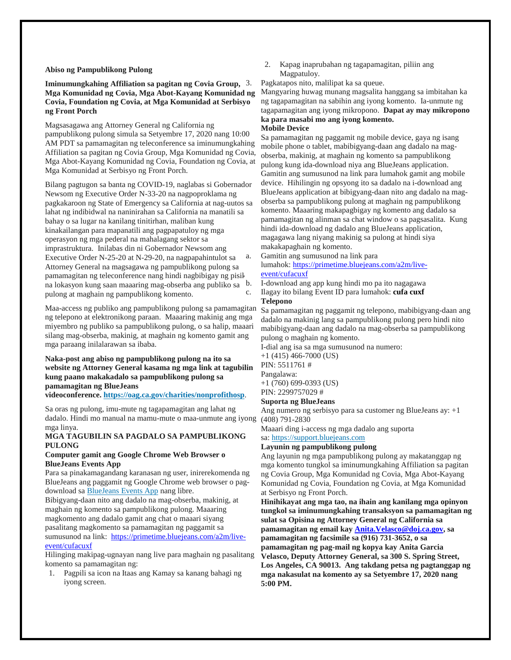#### **Abiso ng Pampublikong Pulong**

#### **Iminumungkahing Affiliation sa pagitan ng Covia Group, Mga Komunidad ng Covia, Mga Abot-Kayang Komunidad ng Covia, Foundation ng Covia, at Mga Komunidad at Serbisyo ng Front Porch**

Magsasagawa ang Attorney General ng California ng pampublikong pulong simula sa Setyembre 17, 2020 nang 10:00 AM PDT sa pamamagitan ng teleconference sa iminumungkahing Affiliation sa pagitan ng Covia Group, Mga Komunidad ng Covia, Mga Abot-Kayang Komunidad ng Covia, Foundation ng Covia, at Mga Komunidad at Serbisyo ng Front Porch.

Bilang pagtugon sa banta ng COVID-19, naglabas si Gobernador Newsom ng Executive Order N-33-20 na nagpoproklama ng pagkakaroon ng State of Emergency sa California at nag-uutos sa lahat ng indibidwal na naninirahan sa California na manatili sa bahay o sa lugar na kanilang tinitirhan, maliban kung kinakailangan para mapanatili ang pagpapatuloy ng mga operasyon ng mga pederal na mahalagang sektor sa imprastruktura. Inilabas din ni Gobernador Newsom ang Executive Order N-25-20 at N-29-20, na nagpapahintulot sa Attorney General na magsagawa ng pampublikong pulong sa pamamagitan ng teleconference nang hindi nagbibigay ng pisik na lokasyon kung saan maaaring mag-obserba ang publiko sa pulong at maghain ng pampublikong komento.

Maa-access ng publiko ang pampublikong pulong sa pamamagitan ng telepono at elektronikong paraan. Maaaring makinig ang mga miyembro ng publiko sa pampublikong pulong, o sa halip, maaari silang mag-obserba, makinig, at maghain ng komento gamit ang mga paraang inilalarawan sa ibaba.

### **Naka-post ang abiso ng pampublikong pulong na ito sa website ng Attorney General kasama ng mga link at tagubilin kung paano makakadalo sa pampublikong pulong sa pamamagitan ng BlueJeans**

**videoconference. <https://oag.ca.gov/charities/nonprofithosp>**.

Sa oras ng pulong, imu-mute ng tagapamagitan ang lahat ng dadalo. Hindi mo manual na mamu-mute o maa-unmute ang iyong mga linya.

#### **MGA TAGUBILIN SA PAGDALO SA PAMPUBLIKONG PULONG**

#### **Computer gamit ang Google Chrome Web Browser o BlueJeans Events App**

Para sa pinakamagandang karanasan ng user, inirerekomenda ng BlueJeans ang paggamit ng Google Chrome web browser o pagdownload sa [BlueJeans Events App](https://www.bluejeans.com/downloads#events) nang libre.

Bibigyang-daan nito ang dadalo na mag-obserba, makinig, at maghain ng komento sa pampublikong pulong. Maaaring magkomento ang dadalo gamit ang chat o maaari siyang pasalitang magkomento sa pamamagitan ng paggamit sa sumusunod na link: [https://primetime.bluejeans.com/a2m/live](https://primetime.bluejeans.com/a2m/live-event/cufacuxf)[event/cufacuxf](https://primetime.bluejeans.com/a2m/live-event/cufacuxf)

Hilinging makipag-ugnayan nang live para maghain ng pasalitang komento sa pamamagitan ng:

1. Pagpili sa icon na Itaas ang Kamay sa kanang bahagi ng iyong screen.

2. Kapag inaprubahan ng tagapamagitan, piliin ang Magpatuloy.

Pagkatapos nito, malilipat ka sa queue.

Mangyaring huwag munang magsalita hanggang sa imbitahan ka ng tagapamagitan na sabihin ang iyong komento. Ia-unmute ng tagapamagitan ang iyong mikropono. **Dapat ay may mikropono ka para masabi mo ang iyong komento.**

#### **Mobile Device**

Sa pamamagitan ng paggamit ng mobile device, gaya ng isang mobile phone o tablet, mabibigyang-daan ang dadalo na magobserba, makinig, at maghain ng komento sa pampublikong pulong kung ida-download niya ang BlueJeans application. Gamitin ang sumusunod na link para lumahok gamit ang mobile device. Hihilingin ng opsyong ito sa dadalo na i-download ang BlueJeans application at bibigyang-daan nito ang dadalo na magobserba sa pampublikong pulong at maghain ng pampublikong komento. Maaaring makapagbigay ng komento ang dadalo sa pamamagitan ng alinman sa chat window o sa pagsasalita. Kung hindi ida-download ng dadalo ang BlueJeans application, magagawa lang niyang makinig sa pulong at hindi siya makakapaghain ng komento.

a. Gamitin ang sumusunod na link para lumahok: [https://primetime.bluejeans.com/a2m/live-](https://urldefense.proofpoint.com/v2/url?u=https-3A__primetime.bluejeans.com_a2m_live-2Devent_cufacuxf&d=DwMFAw&c=uASjV29gZuJt5_5J5CPRuQ&r=PqIGLpv2OA8WebJT0J6tue8Cb1QTS1DAaMU3tspgzmg&m=TdMHX7wYs5IvVxMKHsmD748rAxaN4MmN8hwQbp1QbCE&s=tuKv6Pds7nBVv3cIeHHq1buIanigMeQZr7dBDRqVGz0&e=)

## [event/cufacuxf](https://urldefense.proofpoint.com/v2/url?u=https-3A__primetime.bluejeans.com_a2m_live-2Devent_cufacuxf&d=DwMFAw&c=uASjV29gZuJt5_5J5CPRuQ&r=PqIGLpv2OA8WebJT0J6tue8Cb1QTS1DAaMU3tspgzmg&m=TdMHX7wYs5IvVxMKHsmD748rAxaN4MmN8hwQbp1QbCE&s=tuKv6Pds7nBVv3cIeHHq1buIanigMeQZr7dBDRqVGz0&e=)

b. I-download ang app kung hindi mo pa ito nagagawa Ilagay ito bilang Event ID para lumahok: **cufa cuxf** 

**Telepono**

Sa pamamagitan ng paggamit ng telepono, mabibigyang-daan ang dadalo na makinig lang sa pampublikong pulong pero hindi nito mabibigyang-daan ang dadalo na mag-obserba sa pampublikong pulong o maghain ng komento.

I-dial ang isa sa mga sumusunod na numero:

+1 (415) 466-7000 (US)

PIN: 5511761 # Pangalawa:

+1 (760) 699-0393 (US)

PIN: 2299757029 #

### **Suporta ng BlueJeans**

Ang numero ng serbisyo para sa customer ng BlueJeans ay: +1 (408) 791-2830

Maaari ding i-access ng mga dadalo ang suporta

# sa: [https://support.bluejeans.com](https://support.bluejeans.com/)

**Layunin ng pampublikong pulong**

Ang layunin ng mga pampublikong pulong ay makatanggap ng mga komento tungkol sa iminumungkahing Affiliation sa pagitan ng Covia Group, Mga Komunidad ng Covia, Mga Abot-Kayang Komunidad ng Covia, Foundation ng Covia, at Mga Komunidad at Serbisyo ng Front Porch.

**Hinihikayat ang mga tao, na ihain ang kanilang mga opinyon tungkol sa iminumungkahing transaksyon sa pamamagitan ng sulat sa Opisina ng Attorney General ng California sa pamamagitan ng email kay [Anita.Velasco@doj.ca.gov,](mailto:Anita.Velasco@doj.ca.gov) sa pamamagitan ng facsimile sa (916) 731-3652, o sa pamamagitan ng pag-mail ng kopya kay Anita Garcia Velasco, Deputy Attorney General, sa 300 S. Spring Street, Los Angeles, CA 90013. Ang takdang petsa ng pagtanggap ng mga nakasulat na komento ay sa Setyembre 17, 2020 nang 5:00 PM.**